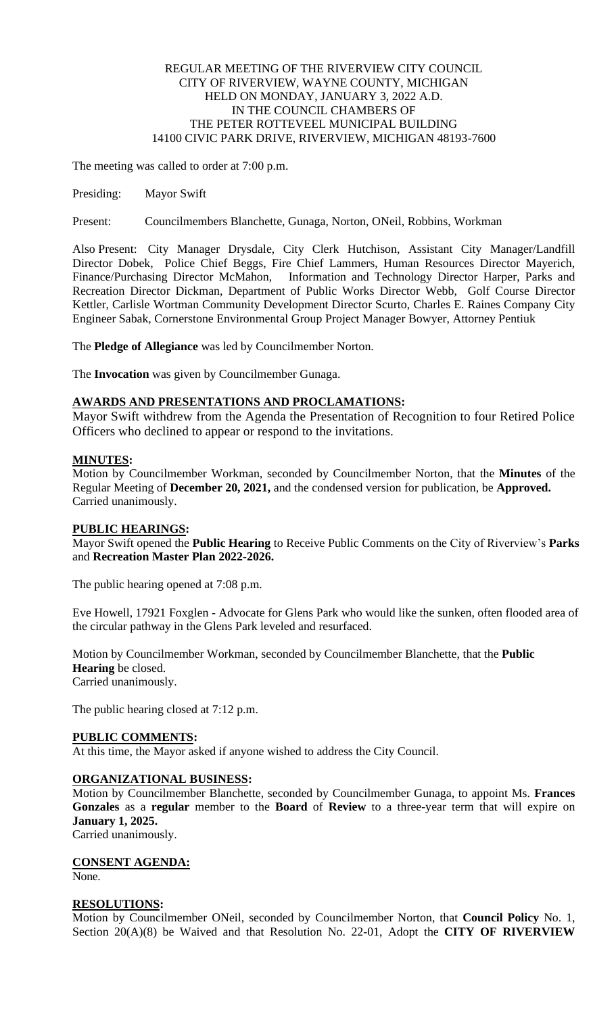# REGULAR MEETING OF THE RIVERVIEW CITY COUNCIL CITY OF RIVERVIEW, WAYNE COUNTY, MICHIGAN HELD ON MONDAY, JANUARY 3, 2022 A.D. IN THE COUNCIL CHAMBERS OF THE PETER ROTTEVEEL MUNICIPAL BUILDING 14100 CIVIC PARK DRIVE, RIVERVIEW, MICHIGAN 48193-7600

The meeting was called to order at 7:00 p.m.

Presiding: Mayor Swift

Present: Councilmembers Blanchette, Gunaga, Norton, ONeil, Robbins, Workman

Also Present: City Manager Drysdale, City Clerk Hutchison, Assistant City Manager/Landfill Director Dobek, Police Chief Beggs, Fire Chief Lammers, Human Resources Director Mayerich, Finance/Purchasing Director McMahon, Information and Technology Director Harper, Parks and Recreation Director Dickman, Department of Public Works Director Webb, Golf Course Director Kettler, Carlisle Wortman Community Development Director Scurto, Charles E. Raines Company City Engineer Sabak, Cornerstone Environmental Group Project Manager Bowyer, Attorney Pentiuk

The **Pledge of Allegiance** was led by Councilmember Norton.

The **Invocation** was given by Councilmember Gunaga.

### **AWARDS AND PRESENTATIONS AND PROCLAMATIONS:**

Mayor Swift withdrew from the Agenda the Presentation of Recognition to four Retired Police Officers who declined to appear or respond to the invitations.

### **MINUTES:**

Motion by Councilmember Workman, seconded by Councilmember Norton, that the **Minutes** of the Regular Meeting of **December 20, 2021,** and the condensed version for publication, be **Approved.** Carried unanimously.

#### **PUBLIC HEARINGS:**

Mayor Swift opened the **Public Hearing** to Receive Public Comments on the City of Riverview's **Parks**  and **Recreation Master Plan 2022-2026.**

The public hearing opened at 7:08 p.m.

Eve Howell, 17921 Foxglen - Advocate for Glens Park who would like the sunken, often flooded area of the circular pathway in the Glens Park leveled and resurfaced.

Motion by Councilmember Workman, seconded by Councilmember Blanchette, that the **Public Hearing** be closed. Carried unanimously.

The public hearing closed at 7:12 p.m.

#### **PUBLIC COMMENTS:**

At this time, the Mayor asked if anyone wished to address the City Council.

#### **ORGANIZATIONAL BUSINESS:**

Motion by Councilmember Blanchette, seconded by Councilmember Gunaga, to appoint Ms. **Frances Gonzales** as a **regular** member to the **Board** of **Review** to a three-year term that will expire on **January 1, 2025.**

Carried unanimously.

# **CONSENT AGENDA:**

None.

#### **RESOLUTIONS:**

Motion by Councilmember ONeil, seconded by Councilmember Norton, that **Council Policy** No. 1, Section 20(A)(8) be Waived and that Resolution No. 22-01, Adopt the **CITY OF RIVERVIEW**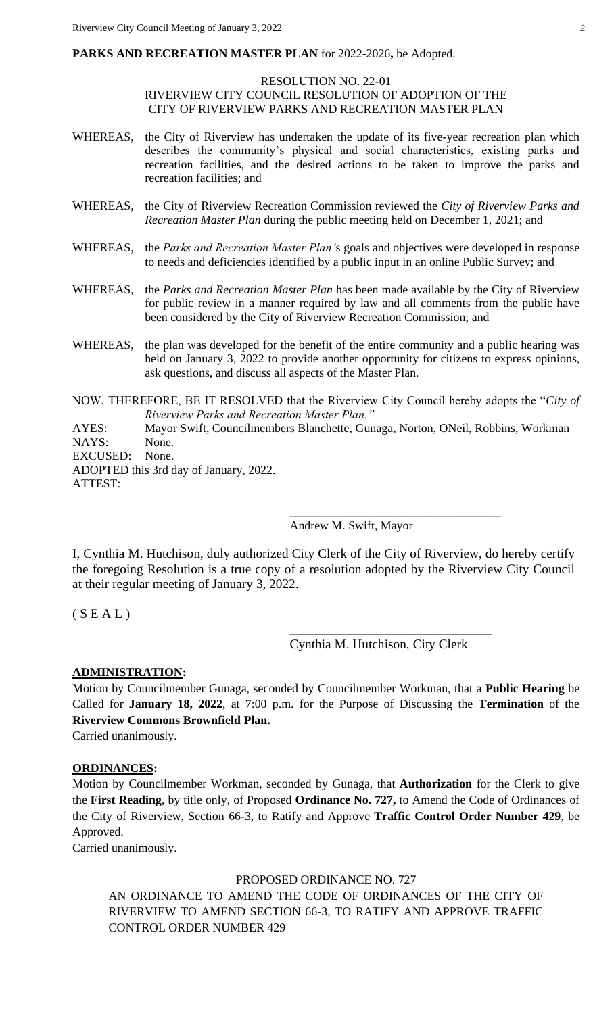**PARKS AND RECREATION MASTER PLAN** for 2022-2026**,** be Adopted.

### RESOLUTION NO. 22-01 RIVERVIEW CITY COUNCIL RESOLUTION OF ADOPTION OF THE CITY OF RIVERVIEW PARKS AND RECREATION MASTER PLAN

- WHEREAS, the City of Riverview has undertaken the update of its five-year recreation plan which describes the community's physical and social characteristics, existing parks and recreation facilities, and the desired actions to be taken to improve the parks and recreation facilities; and
- WHEREAS, the City of Riverview Recreation Commission reviewed the *City of Riverview Parks and Recreation Master Plan* during the public meeting held on December 1, 2021; and
- WHEREAS, the *Parks and Recreation Master Plan'*s goals and objectives were developed in response to needs and deficiencies identified by a public input in an online Public Survey; and
- WHEREAS, the *Parks and Recreation Master Plan* has been made available by the City of Riverview for public review in a manner required by law and all comments from the public have been considered by the City of Riverview Recreation Commission; and
- WHEREAS, the plan was developed for the benefit of the entire community and a public hearing was held on January 3, 2022 to provide another opportunity for citizens to express opinions, ask questions, and discuss all aspects of the Master Plan.

NOW, THEREFORE, BE IT RESOLVED that the Riverview City Council hereby adopts the "*City of Riverview Parks and Recreation Master Plan."*

AYES: Mayor Swift, Councilmembers Blanchette, Gunaga, Norton, ONeil, Robbins, Workman NAYS: None.

EXCUSED: None.

ADOPTED this 3rd day of January, 2022. ATTEST:

Andrew M. Swift, Mayor

I, Cynthia M. Hutchison, duly authorized City Clerk of the City of Riverview, do hereby certify the foregoing Resolution is a true copy of a resolution adopted by the Riverview City Council at their regular meeting of January 3, 2022.

 $(S E A L)$ 

Cynthia M. Hutchison, City Clerk

\_\_\_\_\_\_\_\_\_\_\_\_\_\_\_\_\_\_\_\_\_\_\_\_\_\_\_\_\_\_\_

\_\_\_\_\_\_\_\_\_\_\_\_\_\_\_\_\_\_\_\_\_\_\_\_\_\_\_\_\_\_\_\_\_\_\_

# **ADMINISTRATION:**

Motion by Councilmember Gunaga, seconded by Councilmember Workman, that a **Public Hearing** be Called for **January 18, 2022**, at 7:00 p.m. for the Purpose of Discussing the **Termination** of the **Riverview Commons Brownfield Plan.**

Carried unanimously.

# **ORDINANCES:**

Motion by Councilmember Workman, seconded by Gunaga, that **Authorization** for the Clerk to give the **First Reading**, by title only, of Proposed **Ordinance No. 727,** to Amend the Code of Ordinances of the City of Riverview, Section 66-3, to Ratify and Approve **Traffic Control Order Number 429**, be Approved.

Carried unanimously.

# PROPOSED ORDINANCE NO. 727

AN ORDINANCE TO AMEND THE CODE OF ORDINANCES OF THE CITY OF RIVERVIEW TO AMEND SECTION 66-3, TO RATIFY AND APPROVE TRAFFIC CONTROL ORDER NUMBER 429